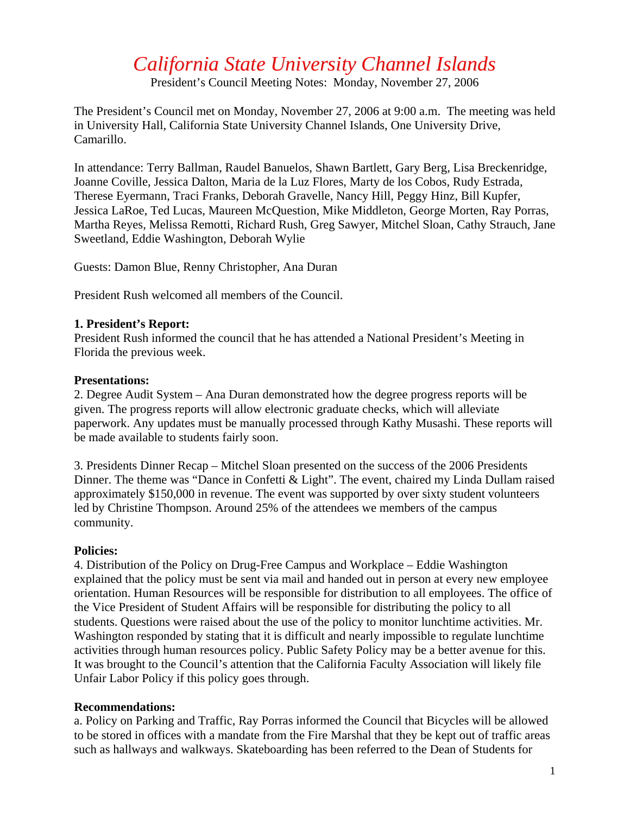# *California State University Channel Islands*

President's Council Meeting Notes: Monday, November 27, 2006

The President's Council met on Monday, November 27, 2006 at 9:00 a.m. The meeting was held in University Hall, California State University Channel Islands, One University Drive, Camarillo.

In attendance: Terry Ballman, Raudel Banuelos, Shawn Bartlett, Gary Berg, Lisa Breckenridge, Joanne Coville, Jessica Dalton, Maria de la Luz Flores, Marty de los Cobos, Rudy Estrada, Therese Eyermann, Traci Franks, Deborah Gravelle, Nancy Hill, Peggy Hinz, Bill Kupfer, Jessica LaRoe, Ted Lucas, Maureen McQuestion, Mike Middleton, George Morten, Ray Porras, Martha Reyes, Melissa Remotti, Richard Rush, Greg Sawyer, Mitchel Sloan, Cathy Strauch, Jane Sweetland, Eddie Washington, Deborah Wylie

Guests: Damon Blue, Renny Christopher, Ana Duran

President Rush welcomed all members of the Council.

# **1. President's Report:**

President Rush informed the council that he has attended a National President's Meeting in Florida the previous week.

# **Presentations:**

2. Degree Audit System – Ana Duran demonstrated how the degree progress reports will be given. The progress reports will allow electronic graduate checks, which will alleviate paperwork. Any updates must be manually processed through Kathy Musashi. These reports will be made available to students fairly soon.

3. Presidents Dinner Recap – Mitchel Sloan presented on the success of the 2006 Presidents Dinner. The theme was "Dance in Confetti & Light". The event, chaired my Linda Dullam raised approximately \$150,000 in revenue. The event was supported by over sixty student volunteers led by Christine Thompson. Around 25% of the attendees we members of the campus community.

#### **Policies:**

4. Distribution of the Policy on Drug-Free Campus and Workplace – Eddie Washington explained that the policy must be sent via mail and handed out in person at every new employee orientation. Human Resources will be responsible for distribution to all employees. The office of the Vice President of Student Affairs will be responsible for distributing the policy to all students. Questions were raised about the use of the policy to monitor lunchtime activities. Mr. Washington responded by stating that it is difficult and nearly impossible to regulate lunchtime activities through human resources policy. Public Safety Policy may be a better avenue for this. It was brought to the Council's attention that the California Faculty Association will likely file Unfair Labor Policy if this policy goes through.

# **Recommendations:**

a. Policy on Parking and Traffic, Ray Porras informed the Council that Bicycles will be allowed to be stored in offices with a mandate from the Fire Marshal that they be kept out of traffic areas such as hallways and walkways. Skateboarding has been referred to the Dean of Students for